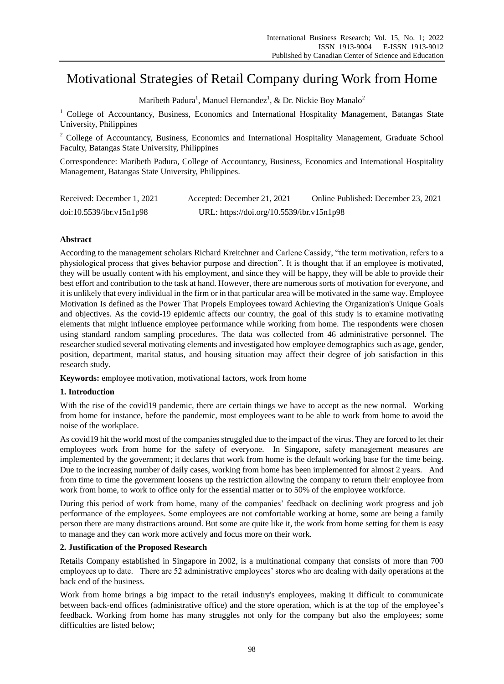# Motivational Strategies of Retail Company during Work from Home

Maribeth Padura<sup>1</sup>, Manuel Hernandez<sup>1</sup>, & Dr. Nickie Boy Manalo<sup>2</sup>

<sup>1</sup> College of Accountancy, Business, Economics and International Hospitality Management, Batangas State University, Philippines

<sup>2</sup> College of Accountancy, Business, Economics and International Hospitality Management, Graduate School Faculty, Batangas State University, Philippines

Correspondence: Maribeth Padura, College of Accountancy, Business, Economics and International Hospitality Management, Batangas State University, Philippines.

| Received: December 1, 2021 | Accepted: December 21, 2021               | Online Published: December 23, 2021 |
|----------------------------|-------------------------------------------|-------------------------------------|
| doi:10.5539/ibr.v15n1p98   | URL: https://doi.org/10.5539/ibr.v15n1p98 |                                     |

# **Abstract**

According to the management scholars Richard Kreitchner and Carlene Cassidy, "the term motivation, refers to a physiological process that gives behavior purpose and direction". It is thought that if an employee is motivated, they will be usually content with his employment, and since they will be happy, they will be able to provide their best effort and contribution to the task at hand. However, there are numerous sorts of motivation for everyone, and it is unlikely that every individual in the firm or in that particular area will be motivated in the same way. Employee Motivation Is defined as the Power That Propels Employees toward Achieving the Organization's Unique Goals and objectives. As the covid-19 epidemic affects our country, the goal of this study is to examine motivating elements that might influence employee performance while working from home. The respondents were chosen using standard random sampling procedures. The data was collected from 46 administrative personnel. The researcher studied several motivating elements and investigated how employee demographics such as age, gender, position, department, marital status, and housing situation may affect their degree of job satisfaction in this research study.

**Keywords:** employee motivation, motivational factors, work from home

# **1. Introduction**

With the rise of the covid19 pandemic, there are certain things we have to accept as the new normal. Working from home for instance, before the pandemic, most employees want to be able to work from home to avoid the noise of the workplace.

As covid19 hit the world most of the companies struggled due to the impact of the virus. They are forced to let their employees work from home for the safety of everyone. In Singapore, safety management measures are implemented by the government; it declares that work from home is the default working base for the time being. Due to the increasing number of daily cases, working from home has been implemented for almost 2 years. And from time to time the government loosens up the restriction allowing the company to return their employee from work from home, to work to office only for the essential matter or to 50% of the employee workforce.

During this period of work from home, many of the companies' feedback on declining work progress and job performance of the employees. Some employees are not comfortable working at home, some are being a family person there are many distractions around. But some are quite like it, the work from home setting for them is easy to manage and they can work more actively and focus more on their work.

# **2. Justification of the Proposed Research**

Retails Company established in Singapore in 2002, is a multinational company that consists of more than 700 employees up to date. There are 52 administrative employees' stores who are dealing with daily operations at the back end of the business.

Work from home brings a big impact to the retail industry's employees, making it difficult to communicate between back-end offices (administrative office) and the store operation, which is at the top of the employee's feedback. Working from home has many struggles not only for the company but also the employees; some difficulties are listed below;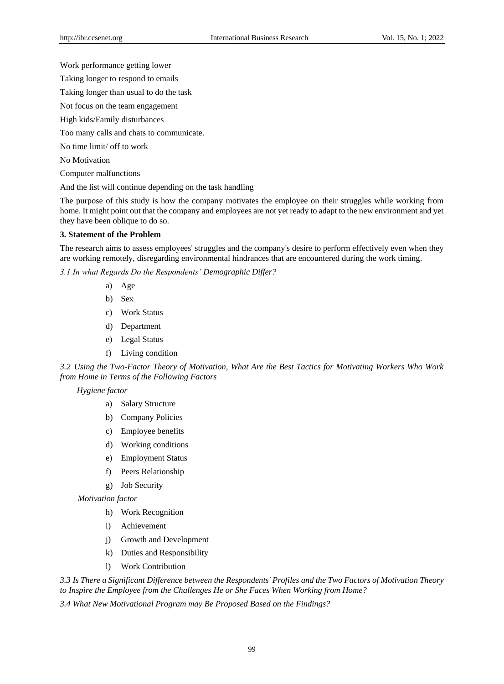Work performance getting lower

Taking longer to respond to emails

Taking longer than usual to do the task

Not focus on the team engagement

High kids/Family disturbances

Too many calls and chats to communicate.

No time limit/ off to work

No Motivation

Computer malfunctions

And the list will continue depending on the task handling

The purpose of this study is how the company motivates the employee on their struggles while working from home. It might point out that the company and employees are not yet ready to adapt to the new environment and yet they have been oblique to do so.

## **3. Statement of the Problem**

The research aims to assess employees' struggles and the company's desire to perform effectively even when they are working remotely, disregarding environmental hindrances that are encountered during the work timing.

*3.1 In what Regards Do the Respondents' Demographic Differ?*

- a) Age
- b) Sex
- c) Work Status
- d) Department
- e) Legal Status
- f) Living condition

*3.2 Using the Two-Factor Theory of Motivation, What Are the Best Tactics for Motivating Workers Who Work from Home in Terms of the Following Factors*

# *Hygiene factor*

- a) Salary Structure
- b) Company Policies
- c) Employee benefits
- d) Working conditions
- e) Employment Status
- f) Peers Relationship
- g) Job Security

*Motivation factor* 

- h) Work Recognition
- i) Achievement
- j) Growth and Development
- k) Duties and Responsibility
- l) Work Contribution

*3.3 Is There a Significant Difference between the Respondents' Profiles and the Two Factors of Motivation Theory to Inspire the Employee from the Challenges He or She Faces When Working from Home?*

*3.4 What New Motivational Program may Be Proposed Based on the Findings?*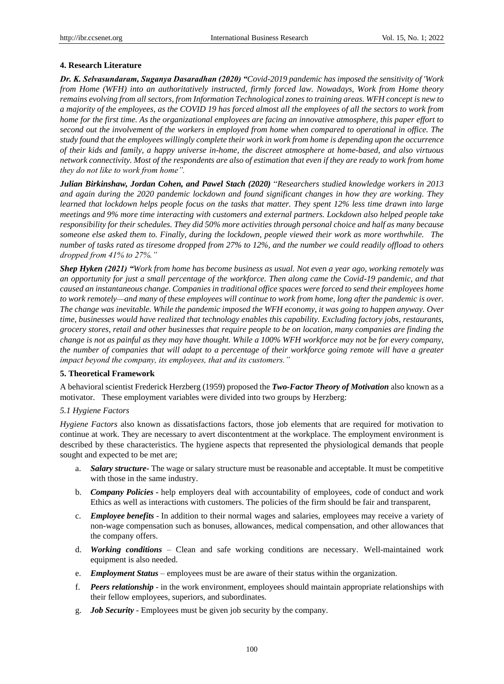#### **4. Research Literature**

*Dr. K. Selvasundaram, Suganya Dasaradhan (2020) "Covid-2019 pandemic has imposed the sensitivity of 'Work from Home (WFH) into an authoritatively instructed, firmly forced law. Nowadays, Work from Home theory remains evolving from all sectors, from Information Technological zones to training areas. WFH concept is new to a majority of the employees, as the COVID 19 has forced almost all the employees of all the sectors to work from home for the first time. As the organizational employees are facing an innovative atmosphere, this paper effort to second out the involvement of the workers in employed from home when compared to operational in office. The study found that the employees willingly complete their work in work from home is depending upon the occurrence of their kids and family, a happy universe in-home, the discreet atmosphere at home-based, and also virtuous network connectivity. Most of the respondents are also of estimation that even if they are ready to work from home they do not like to work from home".*

*Julian Birkinshaw, Jordan Cohen, and Pawel Stach (2020)* "*Researchers studied knowledge workers in 2013 and again during the 2020 pandemic lockdown and found significant changes in how they are working. They learned that lockdown helps people focus on the tasks that matter. They spent 12% less time drawn into large meetings and 9% more time interacting with customers and external partners. Lockdown also helped people take responsibility for their schedules. They did 50% more activities through personal choice and half as many because someone else asked them to. Finally, during the lockdown, people viewed their work as more worthwhile. The number of tasks rated as tiresome dropped from 27% to 12%, and the number we could readily offload to others dropped from 41% to 27%."*

*Shep Hyken (2021) "Work from home has become business as usual. Not even a year ago, working remotely was an opportunity for just a small percentage of the workforce. Then along came the Covid-19 pandemic, and that caused an instantaneous change. Companies in traditional office spaces were forced to send their employees home to work remotely—and many of these employees will continue to work from home, long after the pandemic is over. The change was inevitable. While the pandemic imposed the WFH economy, it was going to happen anyway. Over time, businesses would have realized that technology enables this capability. Excluding factory jobs, restaurants, grocery stores, retail and other businesses that require people to be on location, many companies are finding the change is not as painful as they may have thought. While a 100% WFH workforce may not be for every company, the number of companies that will adapt to a percentage of their workforce going remote will have a greater impact beyond the company, its employees, that and its customers."*

#### **5. Theoretical Framework**

A behavioral scientist Frederick Herzberg (1959) proposed the *Two-Factor Theory of Motivation* also known as a motivator. These employment variables were divided into two groups by Herzberg:

## *5.1 Hygiene Factors*

*Hygiene Factors* also known as dissatisfactions factors, those job elements that are required for motivation to continue at work. They are necessary to avert discontentment at the workplace. The employment environment is described by these characteristics. The hygiene aspects that represented the physiological demands that people sought and expected to be met are;

- a. *Salary structure***-** The wage or salary structure must be reasonable and acceptable. It must be competitive with those in the same industry.
- b. *Company Policies -* help employers deal with accountability of employees, code of conduct and work Ethics as well as interactions with customers. The policies of the firm should be fair and transparent,
- c. *Employee benefits* In addition to their normal wages and salaries, employees may receive a variety of non-wage compensation such as bonuses, allowances, medical compensation, and other allowances that the company offers.
- d. *Working conditions* Clean and safe working conditions are necessary. Well-maintained work equipment is also needed.
- e. *Employment Status* employees must be are aware of their status within the organization.
- f. *Peers relationship* in the work environment, employees should maintain appropriate relationships with their fellow employees, superiors, and subordinates.
- g. *Job Security* Employees must be given job security by the company.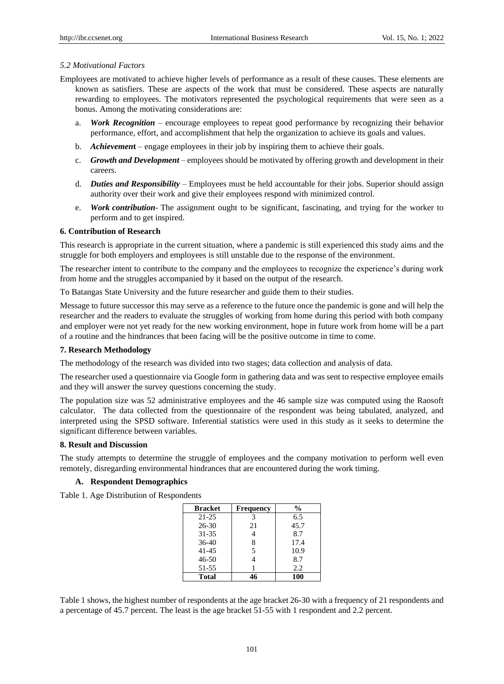#### *5.2 Motivational Factors*

- Employees are motivated to achieve higher levels of performance as a result of these causes. These elements are known as satisfiers. These are aspects of the work that must be considered. These aspects are naturally rewarding to employees. The motivators represented the psychological requirements that were seen as a bonus. Among the motivating considerations are:
	- a. *Work Recognition* encourage employees to repeat good performance by recognizing their behavior performance, effort, and accomplishment that help the organization to achieve its goals and values.
	- b. *Achievemen***t** engage employees in their job by inspiring them to achieve their goals.
	- c. *Growth and Development –* employees should be motivated by offering growth and development in their careers.
	- d. *Duties and Responsibility* Employees must be held accountable for their jobs. Superior should assign authority over their work and give their employees respond with minimized control.
	- e. *Work contribution* The assignment ought to be significant, fascinating, and trying for the worker to perform and to get inspired.

#### **6. Contribution of Research**

This research is appropriate in the current situation, where a pandemic is still experienced this study aims and the struggle for both employers and employees is still unstable due to the response of the environment.

The researcher intent to contribute to the company and the employees to recognize the experience's during work from home and the struggles accompanied by it based on the output of the research.

To Batangas State University and the future researcher and guide them to their studies.

Message to future successor this may serve as a reference to the future once the pandemic is gone and will help the researcher and the readers to evaluate the struggles of working from home during this period with both company and employer were not yet ready for the new working environment, hope in future work from home will be a part of a routine and the hindrances that been facing will be the positive outcome in time to come.

#### **7. Research Methodology**

The methodology of the research was divided into two stages; data collection and analysis of data.

The researcher used a questionnaire via Google form in gathering data and was sent to respective employee emails and they will answer the survey questions concerning the study.

The population size was 52 administrative employees and the 46 sample size was computed using the Raosoft calculator. The data collected from the questionnaire of the respondent was being tabulated, analyzed, and interpreted using the SPSD software. Inferential statistics were used in this study as it seeks to determine the significant difference between variables.

#### **8. Result and Discussion**

The study attempts to determine the struggle of employees and the company motivation to perform well even remotely, disregarding environmental hindrances that are encountered during the work timing.

## **A. Respondent Demographics**

Table 1. Age Distribution of Respondents

| <b>Bracket</b> | <b>Frequency</b> | %    |
|----------------|------------------|------|
| $21 - 25$      | 3                | 6.5  |
| $26 - 30$      | 21               | 45.7 |
| $31 - 35$      |                  | 8.7  |
| $36-40$        | 8                | 17.4 |
| $41 - 45$      | 5                | 10.9 |
| $46 - 50$      |                  | 8.7  |
| 51-55          |                  | 2.2  |
| <b>Total</b>   |                  | 100  |

Table 1 shows, the highest number of respondents at the age bracket 26-30 with a frequency of 21 respondents and a percentage of 45.7 percent. The least is the age bracket 51-55 with 1 respondent and 2.2 percent.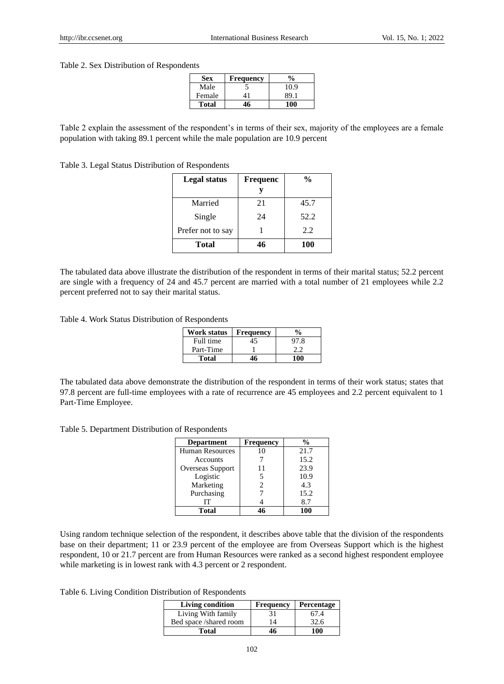#### Table 2. Sex Distribution of Respondents

| <b>Sex</b> | <b>Frequency</b> | $\frac{0}{0}$ |
|------------|------------------|---------------|
| Male       |                  | 10.9          |
| Female     |                  | 89.1          |
| Total      |                  |               |

Table 2 explain the assessment of the respondent's in terms of their sex, majority of the employees are a female population with taking 89.1 percent while the male population are 10.9 percent

Table 3. Legal Status Distribution of Respondents

| <b>Legal status</b> | Frequenc | $\frac{0}{0}$ |
|---------------------|----------|---------------|
|                     |          |               |
| Married             | 21       | 45.7          |
| Single              | 24       | 52.2          |
| Prefer not to say   |          | 2.2           |
| Total               | 46       | <b>100</b>    |

The tabulated data above illustrate the distribution of the respondent in terms of their marital status; 52.2 percent are single with a frequency of 24 and 45.7 percent are married with a total number of 21 employees while 2.2 percent preferred not to say their marital status.

Table 4. Work Status Distribution of Respondents

| Work status | <b>Frequency</b> |      |
|-------------|------------------|------|
| Full time   | 45               | 97.8 |
| Part-Time   |                  | つつ   |
| Total       |                  |      |

The tabulated data above demonstrate the distribution of the respondent in terms of their work status; states that 97.8 percent are full-time employees with a rate of recurrence are 45 employees and 2.2 percent equivalent to 1 Part-Time Employee.

Table 5. Department Distribution of Respondents

| <b>Department</b>      | <b>Frequency</b> | $\frac{0}{0}$ |
|------------------------|------------------|---------------|
| <b>Human Resources</b> | 10               | 21.7          |
| Accounts               |                  | 15.2          |
| Overseas Support       | 11               | 23.9          |
| Logistic               |                  | 10.9          |
| Marketing              |                  | 4.3           |
| Purchasing             |                  | 15.2          |
| IТ                     |                  | 8.7           |
| <b>Total</b>           |                  | 100           |

Using random technique selection of the respondent, it describes above table that the division of the respondents base on their department; 11 or 23.9 percent of the employee are from Overseas Support which is the highest respondent, 10 or 21.7 percent are from Human Resources were ranked as a second highest respondent employee while marketing is in lowest rank with 4.3 percent or 2 respondent.

Table 6. Living Condition Distribution of Respondents

| <b>Living condition</b> | <b>Frequency</b> | Percentage |
|-------------------------|------------------|------------|
| Living With family      | 31               | 67.4       |
| Bed space /shared room  | 14               | 32.6       |
| Total                   | 46               | 100        |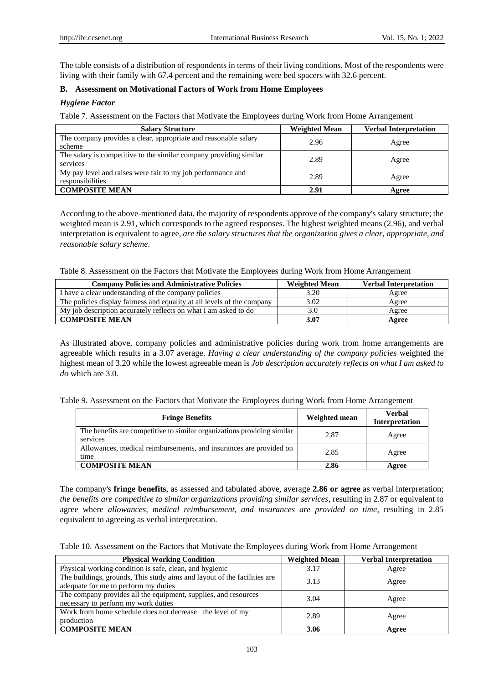The table consists of a distribution of respondents in terms of their living conditions. Most of the respondents were living with their family with 67.4 percent and the remaining were bed spacers with 32.6 percent.

## **B. Assessment on Motivational Factors of Work from Home Employees**

## *Hygiene Factor*

Table 7*.* Assessment on the Factors that Motivate the Employees during Work from Home Arrangement

| <b>Salary Structure</b>                                                         | <b>Weighted Mean</b> | <b>Verbal Interpretation</b> |
|---------------------------------------------------------------------------------|----------------------|------------------------------|
| The company provides a clear, appropriate and reasonable salary<br>scheme       | 2.96                 | Agree                        |
| The salary is competitive to the similar company providing similar<br>services  | 2.89                 | Agree                        |
| My pay level and raises were fair to my job performance and<br>responsibilities | 2.89                 | Agree                        |
| <b>COMPOSITE MEAN</b>                                                           | 2.91                 | Agree                        |

According to the above-mentioned data, the majority of respondents approve of the company's salary structure; the weighted mean is 2.91, which corresponds to the agreed responses. The highest weighted means (2.96), and verbal interpretation is equivalent to agree, *are the salary structures that the organization gives a clear, appropriate, and reasonable salary scheme*.

Table 8. Assessment on the Factors that Motivate the Employees during Work from Home Arrangement

| <b>Company Policies and Administrative Policies</b>                     | <b>Weighted Mean</b> | <b>Verbal Interpretation</b> |
|-------------------------------------------------------------------------|----------------------|------------------------------|
| I have a clear understanding of the company policies                    | 3.20                 | Agree                        |
| The policies display fairness and equality at all levels of the company | 3.02                 | Agree                        |
| My job description accurately reflects on what I am asked to do         | 3.0                  | Agree                        |
| <b>COMPOSITE MEAN</b>                                                   | 3.07                 | Agree                        |

As illustrated above, company policies and administrative policies during work from home arrangements are agreeable which results in a 3.07 average. *Having a clear understanding of the company policies* weighted the highest mean of 3.20 while the lowest agreeable mean is *Job description accurately reflects on what I am asked to do* which are 3.0.

Table 9. Assessment on the Factors that Motivate the Employees during Work from Home Arrangement

| <b>Fringe Benefits</b>                                                              | Weighted mean | <b>Verbal</b><br><b>Interpretation</b> |
|-------------------------------------------------------------------------------------|---------------|----------------------------------------|
| The benefits are competitive to similar organizations providing similar<br>services | 2.87          | Agree                                  |
| Allowances, medical reimbursements, and insurances are provided on<br>time          | 2.85          | Agree                                  |
| <b>COMPOSITE MEAN</b>                                                               | 2.86          | Agree                                  |

The company's **fringe benefits**, as assessed and tabulated above, average **2.86 or agree** as verbal interpretation; *the benefits are competitive to similar organizations providing similar services*, resulting in 2.87 or equivalent to agree where *allowances, medical reimbursement, and insurances are provided on time*, resulting in 2.85 equivalent to agreeing as verbal interpretation.

Table 10. Assessment on the Factors that Motivate the Employees during Work from Home Arrangement

| <b>Physical Working Condition</b>                                                                                | <b>Weighted Mean</b> | <b>Verbal Interpretation</b> |
|------------------------------------------------------------------------------------------------------------------|----------------------|------------------------------|
| Physical working condition is safe, clean, and hygienic                                                          | 3.17                 | Agree                        |
| The buildings, grounds, This study aims and layout of the facilities are<br>adequate for me to perform my duties | 3.13                 | Agree                        |
| The company provides all the equipment, supplies, and resources<br>necessary to perform my work duties           | 3.04                 | Agree                        |
| Work from home schedule does not decrease the level of my<br>production                                          | 2.89                 | Agree                        |
| <b>COMPOSITE MEAN</b>                                                                                            | 3.06                 | Agree                        |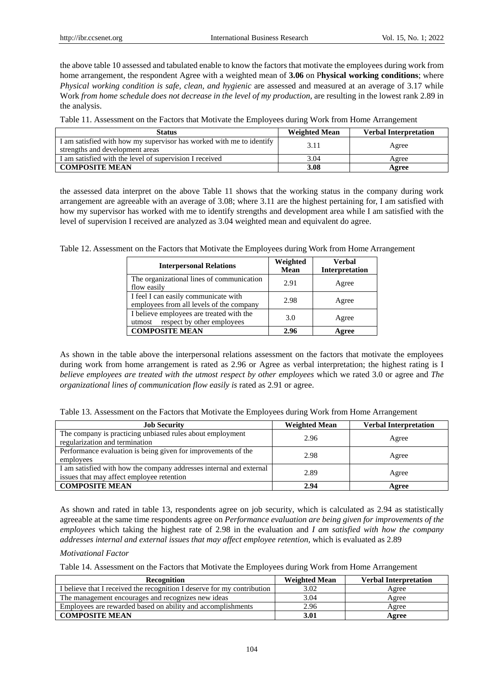the above table 10 assessed and tabulated enable to know the factors that motivate the employees during work from home arrangement, the respondent Agree with a weighted mean of **3.06** on P**hysical working conditions**; where *Physical working condition is safe, clean, and hygienic* are assessed and measured at an average of 3.17 while Work *from home schedule does not decrease in the level of my production*, are resulting in the lowest rank 2.89 in the analysis.

| Table 11. Assessment on the Factors that Motivate the Employees during Work from Home Arrangement |  |  |
|---------------------------------------------------------------------------------------------------|--|--|
|---------------------------------------------------------------------------------------------------|--|--|

| <b>Status</b>                                                                                           | <b>Weighted Mean</b> | <b>Verbal Interpretation</b> |
|---------------------------------------------------------------------------------------------------------|----------------------|------------------------------|
| I am satisfied with how my supervisor has worked with me to identify<br>strengths and development areas | 3.11                 | Agree                        |
| I am satisfied with the level of supervision I received                                                 | 3.04                 | Agree                        |
| <b>COMPOSITE MEAN</b>                                                                                   | 3.08                 | Agree                        |

the assessed data interpret on the above Table 11 shows that the working status in the company during work arrangement are agreeable with an average of 3.08; where 3.11 are the highest pertaining for, I am satisfied with how my supervisor has worked with me to identify strengths and development area while I am satisfied with the level of supervision I received are analyzed as 3.04 weighted mean and equivalent do agree.

Table 12. Assessment on the Factors that Motivate the Employees during Work from Home Arrangement

| <b>Interpersonal Relations</b>                                                   | Weighted<br><b>Mean</b> | <b>Verbal</b><br>Interpretation |
|----------------------------------------------------------------------------------|-------------------------|---------------------------------|
| The organizational lines of communication<br>flow easily                         | 2.91                    | Agree                           |
| I feel I can easily communicate with<br>employees from all levels of the company | 2.98                    | Agree                           |
| I believe employees are treated with the<br>respect by other employees<br>utmost | 3.0                     | Agree                           |
| <b>COMPOSITE MEAN</b>                                                            | 2.96                    | Agree                           |

As shown in the table above the interpersonal relations assessment on the factors that motivate the employees during work from home arrangement is rated as 2.96 or Agree as verbal interpretation; the highest rating is I *believe employees are treated with the utmost respect by other employees* which we rated 3.0 or agree and *The organizational lines of communication flow easily is* rated as 2.91 or agree.

| Table 13. Assessment on the Factors that Motivate the Employees during Work from Home Arrangement |  |  |
|---------------------------------------------------------------------------------------------------|--|--|
|                                                                                                   |  |  |

| <b>Job Security</b>                                                                                              | <b>Weighted Mean</b> | <b>Verbal Interpretation</b> |
|------------------------------------------------------------------------------------------------------------------|----------------------|------------------------------|
| The company is practicing unbiased rules about employment<br>regularization and termination                      | 2.96                 | Agree                        |
| Performance evaluation is being given for improvements of the<br>employees                                       | 2.98                 | Agree                        |
| I am satisfied with how the company addresses internal and external<br>issues that may affect employee retention | 2.89                 | Agree                        |
| <b>COMPOSITE MEAN</b>                                                                                            | 2.94                 | Agree                        |

As shown and rated in table 13, respondents agree on job security, which is calculated as 2.94 as statistically agreeable at the same time respondents agree on *Performance evaluation are being given for improvements of the employees* which taking the highest rate of 2.98 in the evaluation and *I am satisfied with how the company addresses internal and external issues that may affect employee retention,* which is evaluated as 2.89

#### *Motivational Factor*

Table 14. Assessment on the Factors that Motivate the Employees during Work from Home Arrangement

| <b>Recognition</b>                                                      | <b>Weighted Mean</b> | <b>Verbal Interpretation</b> |
|-------------------------------------------------------------------------|----------------------|------------------------------|
| I believe that I received the recognition I deserve for my contribution | 3.02                 | Agree                        |
| The management encourages and recognizes new ideas                      | 3.04                 | Agree                        |
| Employees are rewarded based on ability and accomplishments             | 2.96                 | Agree                        |
| <b>COMPOSITE MEAN</b>                                                   | 3.01                 | Agree                        |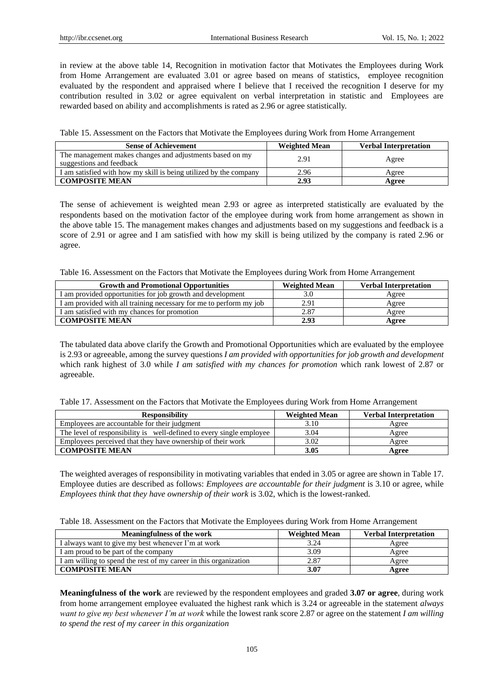in review at the above table 14, Recognition in motivation factor that Motivates the Employees during Work from Home Arrangement are evaluated 3.01 or agree based on means of statistics, employee recognition evaluated by the respondent and appraised where I believe that I received the recognition I deserve for my contribution resulted in 3.02 or agree equivalent on verbal interpretation in statistic and Employees are rewarded based on ability and accomplishments is rated as 2.96 or agree statistically.

Table 15. Assessment on the Factors that Motivate the Employees during Work from Home Arrangement

| <b>Sense of Achievement</b>                                                          | <b>Weighted Mean</b> | <b>Verbal Interpretation</b> |
|--------------------------------------------------------------------------------------|----------------------|------------------------------|
| The management makes changes and adjustments based on my<br>suggestions and feedback | 2.91                 | Agree                        |
| I am satisfied with how my skill is being utilized by the company                    | 2.96                 | Agree                        |
| <b>COMPOSITE MEAN</b>                                                                | 2.93                 | Agree                        |

The sense of achievement is weighted mean 2.93 or agree as interpreted statistically are evaluated by the respondents based on the motivation factor of the employee during work from home arrangement as shown in the above table 15. The management makes changes and adjustments based on my suggestions and feedback is a score of 2.91 or agree and I am satisfied with how my skill is being utilized by the company is rated 2.96 or agree.

Table 16. Assessment on the Factors that Motivate the Employees during Work from Home Arrangement

| <b>Growth and Promotional Opportunities</b>                        | <b>Weighted Mean</b> | <b>Verbal Interpretation</b> |
|--------------------------------------------------------------------|----------------------|------------------------------|
| I am provided opportunities for job growth and development         | 3.0                  | Agree                        |
| I am provided with all training necessary for me to perform my job | 2.91                 | Agree                        |
| I am satisfied with my chances for promotion                       | 2.87                 | Agree                        |
| <b>COMPOSITE MEAN</b>                                              | 2.93                 | Agree                        |

The tabulated data above clarify the Growth and Promotional Opportunities which are evaluated by the employee is 2.93 or agreeable, among the survey questions *I am provided with opportunities for job growth and development* which rank highest of 3.0 while *I am satisfied with my chances for promotion* which rank lowest of 2.87 or agreeable.

Table 17. Assessment on the Factors that Motivate the Employees during Work from Home Arrangement

| <b>Responsibility</b>                                                | <b>Weighted Mean</b> | <b>Verbal Interpretation</b> |
|----------------------------------------------------------------------|----------------------|------------------------------|
| Employees are accountable for their judgment                         | 3.10                 | Agree                        |
| The level of responsibility is well-defined to every single employee | 3.04                 | Agree                        |
| Employees perceived that they have ownership of their work           | 3.02                 | Agree                        |
| <b>COMPOSITE MEAN</b>                                                | 3.05                 | Agree                        |

The weighted averages of responsibility in motivating variables that ended in 3.05 or agree are shown in Table 17. Employee duties are described as follows: *Employees are accountable for their judgment* is 3.10 or agree, while *Employees think that they have ownership of their work* is 3.02, which is the lowest-ranked.

| Table 18. Assessment on the Factors that Motivate the Employees during Work from Home Arrangement |  |  |
|---------------------------------------------------------------------------------------------------|--|--|
|                                                                                                   |  |  |

| <b>Meaningfulness of the work</b>                                | <b>Weighted Mean</b> | <b>Verbal Interpretation</b> |
|------------------------------------------------------------------|----------------------|------------------------------|
| I always want to give my best whenever I'm at work               | 3.24                 | Agree                        |
| I am proud to be part of the company                             | 3.09                 | Agree                        |
| I am willing to spend the rest of my career in this organization | 2.87                 | Agree                        |
| <b>COMPOSITE MEAN</b>                                            | 3.07                 | Agree                        |

**Meaningfulness of the work** are reviewed by the respondent employees and graded **3.07 or agree**, during work from home arrangement employee evaluated the highest rank which is 3.24 or agreeable in the statement *always want to give my best whenever I'm at work* while the lowest rank score 2.87 or agree on the statement *I am willing to spend the rest of my career in this organization*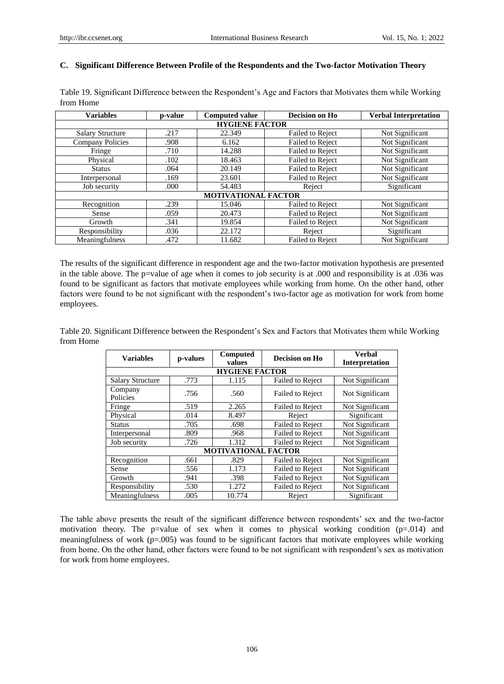#### **C. Significant Difference Between Profile of the Respondents and the Two-factor Motivation Theory**

| <b>Variables</b>        | p-value               | <b>Computed value</b>      | Decision on Ho   | <b>Verbal Interpretation</b> |  |  |
|-------------------------|-----------------------|----------------------------|------------------|------------------------------|--|--|
|                         | <b>HYGIENE FACTOR</b> |                            |                  |                              |  |  |
| <b>Salary Structure</b> | .217                  | 22.349                     | Failed to Reject | Not Significant              |  |  |
| <b>Company Policies</b> | .908                  | 6.162                      | Failed to Reject | Not Significant              |  |  |
| Fringe                  | .710                  | 14.288                     | Failed to Reject | Not Significant              |  |  |
| Physical                | .102                  | 18.463                     | Failed to Reject | Not Significant              |  |  |
| <b>Status</b>           | .064                  | 20.149                     | Failed to Reject | Not Significant              |  |  |
| Interpersonal           | .169                  | 23.601                     | Failed to Reject | Not Significant              |  |  |
| Job security            | .000                  | 54.483                     | Reject           | Significant                  |  |  |
|                         |                       | <b>MOTIVATIONAL FACTOR</b> |                  |                              |  |  |
| Recognition             | .239                  | 15.046                     | Failed to Reject | Not Significant              |  |  |
| Sense                   | .059                  | 20.473                     | Failed to Reject | Not Significant              |  |  |
| Growth                  | .341                  | 19.854                     | Failed to Reject | Not Significant              |  |  |
| Responsibility          | .036                  | 22.172                     | Reject           | Significant                  |  |  |
| Meaningfulness          | .472                  | 11.682                     | Failed to Reject | Not Significant              |  |  |

Table 19. Significant Difference between the Respondent's Age and Factors that Motivates them while Working from Home

The results of the significant difference in respondent age and the two-factor motivation hypothesis are presented in the table above. The p=value of age when it comes to job security is at .000 and responsibility is at .036 was found to be significant as factors that motivate employees while working from home. On the other hand, other factors were found to be not significant with the respondent's two-factor age as motivation for work from home employees.

Table 20. Significant Difference between the Respondent's Sex and Factors that Motivates them while Working from Home

| <b>Variables</b>        | p-values | <b>Computed</b><br>values  | Decision on Ho          | <b>Verbal</b><br><b>Interpretation</b> |
|-------------------------|----------|----------------------------|-------------------------|----------------------------------------|
|                         |          | <b>HYGIENE FACTOR</b>      |                         |                                        |
| <b>Salary Structure</b> | .773     | 1.115                      | <b>Failed to Reject</b> | Not Significant                        |
| Company<br>Policies     | .756     | .560                       | Failed to Reject        | Not Significant                        |
| Fringe                  | .519     | 2.265                      | Failed to Reject        | Not Significant                        |
| Physical                | .014     | 8.497                      | Reject                  | Significant                            |
| <b>Status</b>           | .705     | .698                       | <b>Failed to Reject</b> | Not Significant                        |
| Interpersonal           | .809     | .968                       | <b>Failed to Reject</b> | Not Significant                        |
| Job security            | .726     | 1.312                      | Failed to Reject        | Not Significant                        |
|                         |          | <b>MOTIVATIONAL FACTOR</b> |                         |                                        |
| Recognition             | .661     | .829                       | Failed to Reject        | Not Significant                        |
| Sense                   | .556     | 1.173                      | <b>Failed to Reject</b> | Not Significant                        |
| Growth                  | .941     | .398                       | <b>Failed to Reject</b> | Not Significant                        |
| Responsibility          | .530     | 1.272                      | <b>Failed to Reject</b> | Not Significant                        |
| Meaningfulness          | .005     | 10.774                     | Reject                  | Significant                            |

The table above presents the result of the significant difference between respondents' sex and the two-factor motivation theory. The p=value of sex when it comes to physical working condition  $(p=0.014)$  and meaningfulness of work (p=.005) was found to be significant factors that motivate employees while working from home. On the other hand, other factors were found to be not significant with respondent's sex as motivation for work from home employees.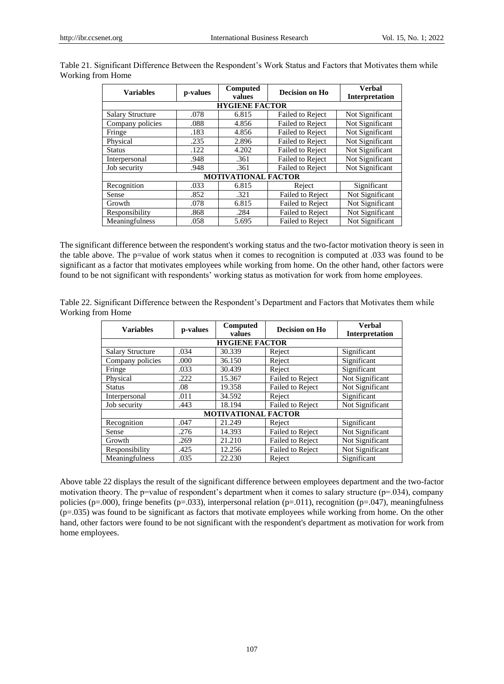|                            |          | Computed | Decision on Ho          | <b>Verbal</b>         |  |
|----------------------------|----------|----------|-------------------------|-----------------------|--|
| <b>Variables</b>           | p-values | values   |                         | <b>Interpretation</b> |  |
| <b>HYGIENE FACTOR</b>      |          |          |                         |                       |  |
| <b>Salary Structure</b>    | .078     | 6.815    | <b>Failed to Reject</b> | Not Significant       |  |
| Company policies           | .088     | 4.856    | <b>Failed to Reject</b> | Not Significant       |  |
| Fringe                     | .183     | 4.856    | <b>Failed to Reject</b> | Not Significant       |  |
| Physical                   | .235     | 2.896    | <b>Failed to Reject</b> | Not Significant       |  |
| <b>Status</b>              | .122     | 4.202    | <b>Failed to Reject</b> | Not Significant       |  |
| Interpersonal              | .948     | .361     | <b>Failed to Reject</b> | Not Significant       |  |
| Job security               | .948     | .361     | <b>Failed to Reject</b> | Not Significant       |  |
| <b>MOTIVATIONAL FACTOR</b> |          |          |                         |                       |  |
| Recognition                | .033     | 6.815    | Reject                  | Significant           |  |
| Sense                      | .852     | .321     | Failed to Reject        | Not Significant       |  |
| Growth                     | .078     | 6.815    | <b>Failed to Reject</b> | Not Significant       |  |
| Responsibility             | .868     | .284     | <b>Failed to Reject</b> | Not Significant       |  |
| Meaningfulness             | .058     | 5.695    | Failed to Reject        | Not Significant       |  |

Table 21. Significant Difference Between the Respondent's Work Status and Factors that Motivates them while Working from Home

The significant difference between the respondent's working status and the two-factor motivation theory is seen in the table above. The p=value of work status when it comes to recognition is computed at .033 was found to be significant as a factor that motivates employees while working from home. On the other hand, other factors were found to be not significant with respondents' working status as motivation for work from home employees.

| Table 22. Significant Difference between the Respondent's Department and Factors that Motivates them while |  |  |
|------------------------------------------------------------------------------------------------------------|--|--|
| Working from Home                                                                                          |  |  |

| <b>Variables</b>           | p-values | Computed              | Decision on Ho          | <b>Verbal</b>         |
|----------------------------|----------|-----------------------|-------------------------|-----------------------|
|                            |          | values                |                         | <b>Interpretation</b> |
|                            |          | <b>HYGIENE FACTOR</b> |                         |                       |
| <b>Salary Structure</b>    | .034     | 30.339                | Reject                  | Significant           |
| Company policies           | .000     | 36.150                | Reject                  | Significant           |
| Fringe                     | .033     | 30.439                | Reject                  | Significant           |
| Physical                   | .222     | 15.367                | <b>Failed to Reject</b> | Not Significant       |
| <b>Status</b>              | .08      | 19.358                | Failed to Reject        | Not Significant       |
| Interpersonal              | .011     | 34.592                | Reject                  | Significant           |
| Job security               | .443     | 18.194                | <b>Failed to Reject</b> | Not Significant       |
| <b>MOTIVATIONAL FACTOR</b> |          |                       |                         |                       |
| Recognition                | .047     | 21.249                | Reject                  | Significant           |
| Sense                      | .276     | 14.393                | Failed to Reject        | Not Significant       |
| Growth                     | .269     | 21.210                | Failed to Reject        | Not Significant       |
| Responsibility             | .425     | 12.256                | Failed to Reject        | Not Significant       |
| Meaningfulness             | .035     | 22.230                | Reject                  | Significant           |

Above table 22 displays the result of the significant difference between employees department and the two-factor motivation theory. The p=value of respondent's department when it comes to salary structure (p=.034), company policies (p=.000), fringe benefits (p=.033), interpersonal relation (p=.011), recognition (p=.047), meaningfulness (p=.035) was found to be significant as factors that motivate employees while working from home. On the other hand, other factors were found to be not significant with the respondent's department as motivation for work from home employees.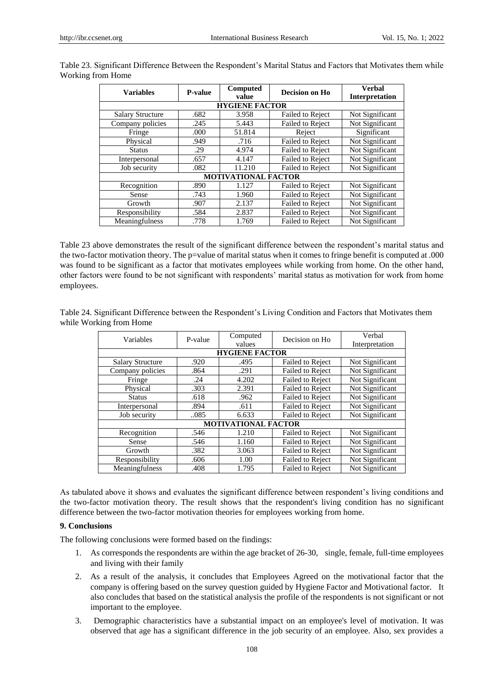| <b>Variables</b>           | P-value | Computed              | Decision on Ho          | <b>Verbal</b>         |  |
|----------------------------|---------|-----------------------|-------------------------|-----------------------|--|
|                            |         | value                 |                         | <b>Interpretation</b> |  |
|                            |         | <b>HYGIENE FACTOR</b> |                         |                       |  |
| <b>Salary Structure</b>    | .682    | 3.958                 | <b>Failed to Reject</b> | Not Significant       |  |
| Company policies           | .245    | 5.443                 | <b>Failed to Reject</b> | Not Significant       |  |
| Fringe                     | .000    | 51.814                | Reject                  | Significant           |  |
| Physical                   | .949    | .716                  | Failed to Reject        | Not Significant       |  |
| <b>Status</b>              | .29     | 4.974                 | <b>Failed to Reject</b> | Not Significant       |  |
| Interpersonal              | .657    | 4.147                 | <b>Failed to Reject</b> | Not Significant       |  |
| Job security               | .082    | 11.210                | <b>Failed to Reject</b> | Not Significant       |  |
| <b>MOTIVATIONAL FACTOR</b> |         |                       |                         |                       |  |
| Recognition                | .890    | 1.127                 | <b>Failed to Reject</b> | Not Significant       |  |
| Sense                      | .743    | 1.960                 | <b>Failed to Reject</b> | Not Significant       |  |
| Growth                     | .907    | 2.137                 | <b>Failed to Reject</b> | Not Significant       |  |
| Responsibility             | .584    | 2.837                 | <b>Failed to Reject</b> | Not Significant       |  |
| Meaningfulness             | .778    | 1.769                 | <b>Failed to Reject</b> | Not Significant       |  |

Table 23. Significant Difference Between the Respondent's Marital Status and Factors that Motivates them while Working from Home

Table 23 above demonstrates the result of the significant difference between the respondent's marital status and the two-factor motivation theory. The p=value of marital status when it comes to fringe benefit is computed at .000 was found to be significant as a factor that motivates employees while working from home. On the other hand, other factors were found to be not significant with respondents' marital status as motivation for work from home employees.

Table 24. Significant Difference between the Respondent's Living Condition and Factors that Motivates them while Working from Home

| Variables                  | P-value               | Computed | Decision on Ho          | Verbal          |  |  |
|----------------------------|-----------------------|----------|-------------------------|-----------------|--|--|
|                            |                       | values   |                         | Interpretation  |  |  |
|                            | <b>HYGIENE FACTOR</b> |          |                         |                 |  |  |
| <b>Salary Structure</b>    | .920                  | .495     | <b>Failed to Reject</b> | Not Significant |  |  |
| Company policies           | .864                  | .291     | <b>Failed to Reject</b> | Not Significant |  |  |
| Fringe                     | .24                   | 4.202    | <b>Failed to Reject</b> | Not Significant |  |  |
| Physical                   | .303                  | 2.391    | <b>Failed to Reject</b> | Not Significant |  |  |
| <b>Status</b>              | .618                  | .962     | <b>Failed to Reject</b> | Not Significant |  |  |
| Interpersonal              | .894                  | .611     | <b>Failed to Reject</b> | Not Significant |  |  |
| Job security               | 085                   | 6.633    | <b>Failed to Reject</b> | Not Significant |  |  |
| <b>MOTIVATIONAL FACTOR</b> |                       |          |                         |                 |  |  |
| Recognition                | .546                  | 1.210    | <b>Failed to Reject</b> | Not Significant |  |  |
| Sense                      | .546                  | 1.160    | <b>Failed to Reject</b> | Not Significant |  |  |
| Growth                     | .382                  | 3.063    | <b>Failed to Reject</b> | Not Significant |  |  |
| Responsibility             | .606                  | 1.00     | <b>Failed to Reject</b> | Not Significant |  |  |
| Meaningfulness             | .408                  | 1.795    | <b>Failed to Reject</b> | Not Significant |  |  |

As tabulated above it shows and evaluates the significant difference between respondent's living conditions and the two-factor motivation theory. The result shows that the respondent's living condition has no significant difference between the two-factor motivation theories for employees working from home.

## **9. Conclusions**

The following conclusions were formed based on the findings:

- 1. As corresponds the respondents are within the age bracket of 26-30, single, female, full-time employees and living with their family
- 2. As a result of the analysis, it concludes that Employees Agreed on the motivational factor that the company is offering based on the survey question guided by Hygiene Factor and Motivational factor. It also concludes that based on the statistical analysis the profile of the respondents is not significant or not important to the employee.
- 3. Demographic characteristics have a substantial impact on an employee's level of motivation. It was observed that age has a significant difference in the job security of an employee. Also, sex provides a